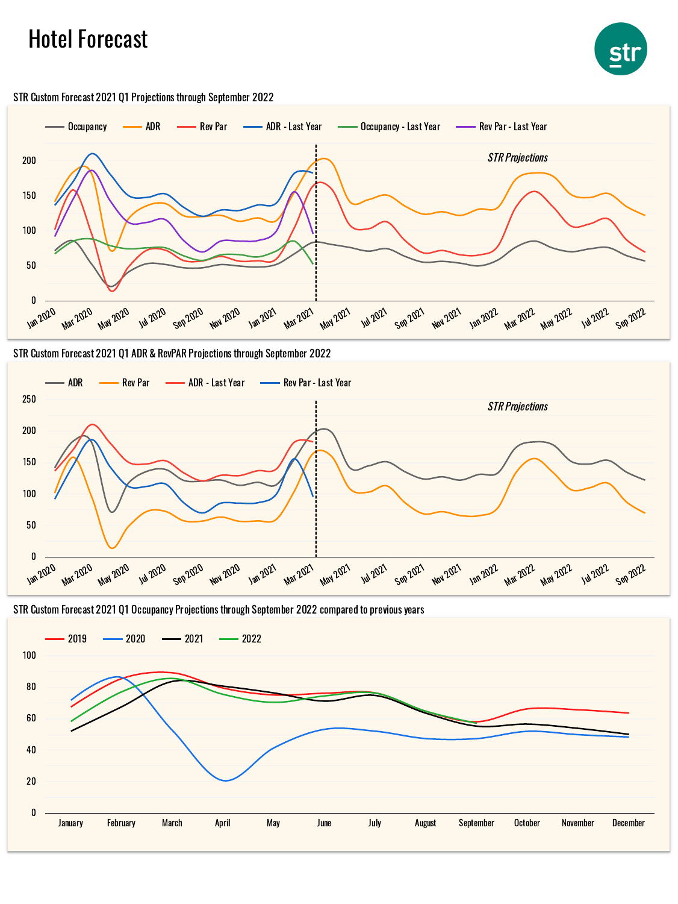## Hotel Forecast





## STR Custom Forecast 2021 Q1 Projections through September 2022





STR Custom Forecast 2021 Q1 Occupancy Projections through September 2022 compared to previous years